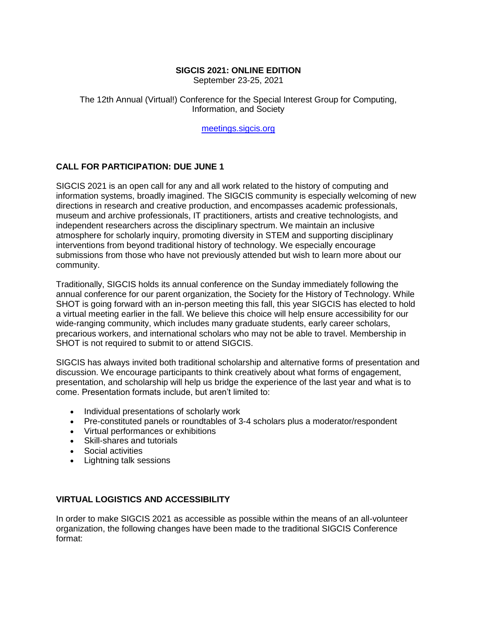### **SIGCIS 2021: ONLINE EDITION**

September 23-25, 2021

The 12th Annual (Virtual!) Conference for the Special Interest Group for Computing, Information, and Society

[meetings.sigcis.org](http://meetings.sigcis.org/)

# **CALL FOR PARTICIPATION: DUE JUNE 1**

SIGCIS 2021 is an open call for any and all work related to the history of computing and information systems, broadly imagined. The SIGCIS community is especially welcoming of new directions in research and creative production, and encompasses academic professionals, museum and archive professionals, IT practitioners, artists and creative technologists, and independent researchers across the disciplinary spectrum. We maintain an inclusive atmosphere for scholarly inquiry, promoting diversity in STEM and supporting disciplinary interventions from beyond traditional history of technology. We especially encourage submissions from those who have not previously attended but wish to learn more about our community.

Traditionally, SIGCIS holds its annual conference on the Sunday immediately following the annual conference for our parent organization, the Society for the History of Technology. While SHOT is going forward with an in-person meeting this fall, this year SIGCIS has elected to hold a virtual meeting earlier in the fall. We believe this choice will help ensure accessibility for our wide-ranging community, which includes many graduate students, early career scholars, precarious workers, and international scholars who may not be able to travel. Membership in SHOT is not required to submit to or attend SIGCIS.

SIGCIS has always invited both traditional scholarship and alternative forms of presentation and discussion. We encourage participants to think creatively about what forms of engagement, presentation, and scholarship will help us bridge the experience of the last year and what is to come. Presentation formats include, but aren't limited to:

- Individual presentations of scholarly work
- Pre-constituted panels or roundtables of 3-4 scholars plus a moderator/respondent
- Virtual performances or exhibitions
- Skill-shares and tutorials
- Social activities
- Lightning talk sessions

## **VIRTUAL LOGISTICS AND ACCESSIBILITY**

In order to make SIGCIS 2021 as accessible as possible within the means of an all-volunteer organization, the following changes have been made to the traditional SIGCIS Conference format: